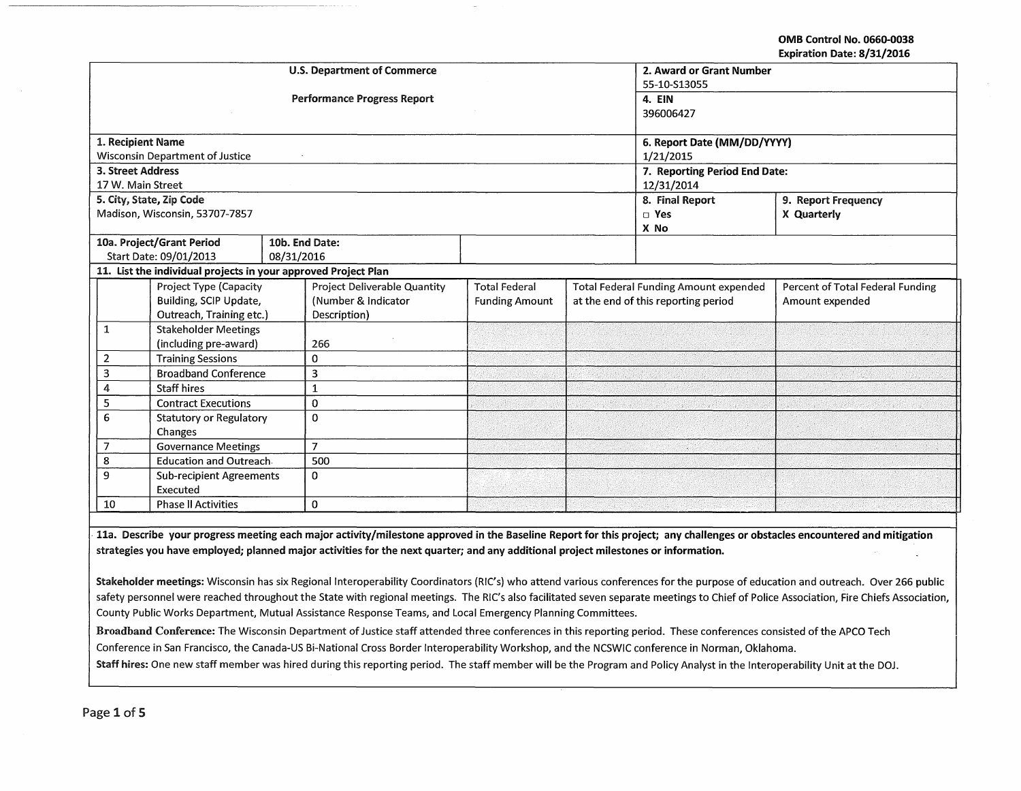OMB Control No. 0660-0038 Expiration Date: 8/31/2016

| <b>U.S. Department of Commerce</b>           |                                                                |                     |                                    |                      |                                              | 2. Award or Grant Number      |                                  |  |
|----------------------------------------------|----------------------------------------------------------------|---------------------|------------------------------------|----------------------|----------------------------------------------|-------------------------------|----------------------------------|--|
|                                              |                                                                |                     |                                    | 55-10-S13055         |                                              |                               |                                  |  |
|                                              |                                                                |                     | <b>Performance Progress Report</b> | 4. EIN               |                                              |                               |                                  |  |
|                                              |                                                                |                     |                                    |                      |                                              | 396006427                     |                                  |  |
|                                              |                                                                |                     |                                    |                      |                                              |                               |                                  |  |
| 1. Recipient Name                            |                                                                |                     |                                    |                      |                                              | 6. Report Date (MM/DD/YYYY)   |                                  |  |
|                                              | <b>Wisconsin Department of Justice</b>                         |                     |                                    |                      |                                              | 1/21/2015                     |                                  |  |
| <b>3. Street Address</b>                     |                                                                |                     |                                    |                      |                                              | 7. Reporting Period End Date: |                                  |  |
| 17 W. Main Street                            |                                                                |                     |                                    |                      |                                              | 12/31/2014                    |                                  |  |
|                                              | 5. City, State, Zip Code                                       |                     |                                    |                      |                                              | 8. Final Report               | 9. Report Frequency              |  |
|                                              | Madison, Wisconsin, 53707-7857                                 |                     |                                    |                      |                                              | $\square$ Yes                 | X Quarterly                      |  |
|                                              |                                                                |                     |                                    |                      |                                              | X No                          |                                  |  |
|                                              | 10a. Project/Grant Period                                      | 10b. End Date:      |                                    |                      |                                              |                               |                                  |  |
|                                              | Start Date: 09/01/2013                                         | 08/31/2016          |                                    |                      |                                              |                               |                                  |  |
|                                              | 11. List the individual projects in your approved Project Plan |                     |                                    |                      |                                              |                               |                                  |  |
|                                              | Project Type (Capacity                                         |                     | Project Deliverable Quantity       | <b>Total Federal</b> | <b>Total Federal Funding Amount expended</b> |                               | Percent of Total Federal Funding |  |
| Building, SCIP Update,                       |                                                                | (Number & Indicator | <b>Funding Amount</b>              |                      | at the end of this reporting period          | Amount expended               |                                  |  |
| Outreach, Training etc.)                     |                                                                | Description)        |                                    |                      |                                              |                               |                                  |  |
| 1                                            | <b>Stakeholder Meetings</b>                                    |                     |                                    |                      |                                              |                               |                                  |  |
|                                              | (including pre-award)                                          |                     | 266                                |                      |                                              |                               |                                  |  |
| $\overline{2}$                               | <b>Training Sessions</b>                                       |                     | 0                                  |                      |                                              |                               |                                  |  |
| 3                                            | <b>Broadband Conference</b>                                    |                     | 3                                  |                      |                                              |                               |                                  |  |
| 4                                            | <b>Staff hires</b>                                             |                     | 1                                  |                      |                                              |                               |                                  |  |
| 5                                            | <b>Contract Executions</b>                                     |                     | 0                                  |                      |                                              |                               |                                  |  |
| 6<br><b>Statutory or Regulatory</b>          |                                                                | $\Omega$            |                                    |                      |                                              |                               |                                  |  |
| Changes                                      |                                                                |                     |                                    |                      |                                              |                               |                                  |  |
| <b>Governance Meetings</b><br>$\overline{7}$ |                                                                | $\overline{7}$      |                                    |                      |                                              |                               |                                  |  |
| 8                                            | <b>Education and Outreach.</b>                                 |                     | 500                                |                      |                                              |                               |                                  |  |
| 9<br><b>Sub-recipient Agreements</b>         |                                                                | $\Omega$            |                                    |                      |                                              |                               |                                  |  |
| Executed                                     |                                                                |                     |                                    |                      |                                              |                               |                                  |  |
| 10                                           | <b>Phase II Activities</b>                                     |                     | $\bf{0}$                           |                      |                                              |                               |                                  |  |

11a. Describe your progress meeting each major activity/milestone approved in the Baseline Report for this project; any challenges or obstacles encountered and mitigation strategies you have employed; planned major activities for the next quarter; and any additional project milestones or information.

Stakeholder meetings: Wisconsin has six Regional Interoperability Coordinators (RIC's) who attend various conferences for the purpose of education and outreach. Over 266 public safety personnel were reached throughout the State with regional meetings. The RIC's also facilitated seven separate meetings to Chief of Police Association, Fire Chiefs Association, County Public Works Department, Mutual Assistance Response Teams, and Local Emergency Planning Committees.

Broadband Conference: The Wisconsin Department of Justice staff attended three conferences in this reporting period. These conferences consisted of the APCO Tech Conference in San Francisco, the Canada-US Bi-National Cross Border lnteroperability Workshop, and the NCSWIC conference in Norman, Oklahoma.

Staff hires: One new staff member was hired during this reporting period. The staff member will be the Program and Policy Analyst in the lnteroperability Unit at the DOJ.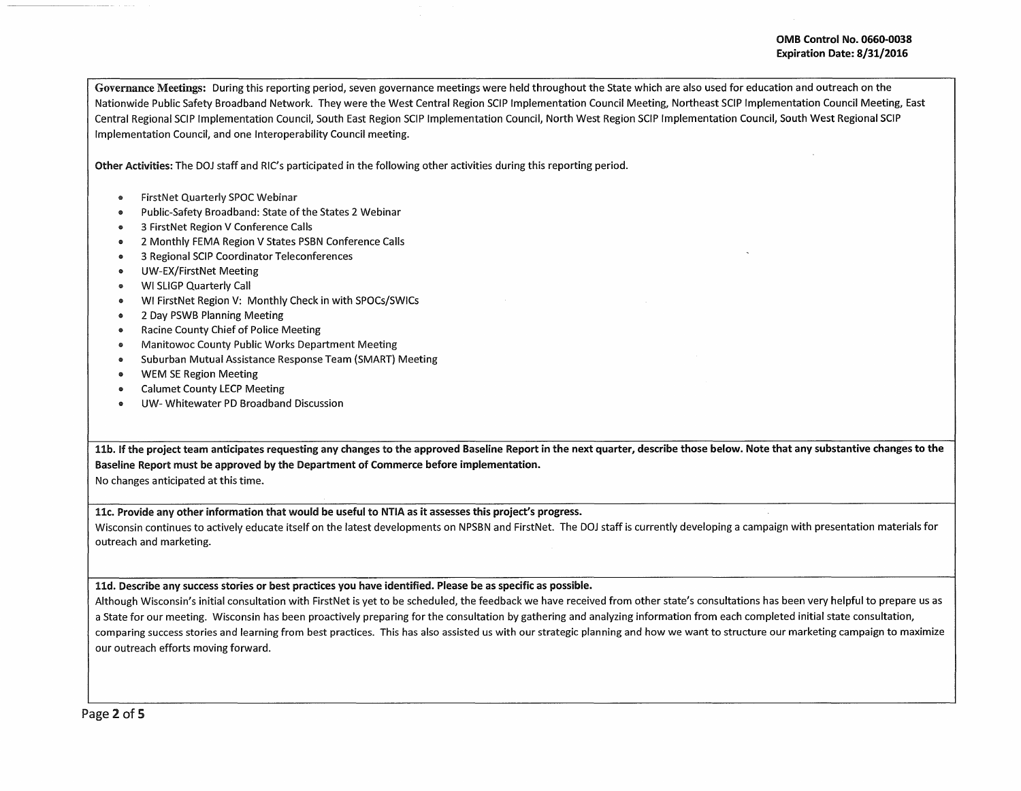Governance Meetings: During this reporting period, seven governance meetings were held throughout the State which are also used for education and outreach on the Nationwide Public Safety Broadband Network. They were the West Central Region SCIP Implementation Council Meeting, Northeast SCIP Implementation Council Meeting, East Central Regional SCIP Implementation Council, South East Region SCIP Implementation Council, North West Region SCIP Implementation Council, South West Regional SCIP Implementation Council, and one lnteroperability Council meeting.

Other Activities: The DOJ staff and RIC's participated in the following other activities during this reporting period.

- FirstNet Quarterly SPOC Webinar
- Public-Safety Broadband: State of the States 2 Webinar
- 3 FirstNet Region V Conference Calls
- 2 Monthly FEMA Region V States PSBN Conference Calls
- 3 Regional SCIP Coordinator Teleconferences
- UW-EX/FirstNet Meeting
- WI SLIGP Quarterly Call
- e WI FirstNet Region V: Monthly Check in with SPOCs/SWICs
- 2 Day PSWB Planning Meeting
- Racine County Chief of Police Meeting
- Manitowoc County Public Works Department Meeting
- Suburban Mutual Assistance Response Team (SMART) Meeting
- WEM SE Region Meeting
- Calumet County LECP Meeting
- UW- Whitewater PD Broadband Discussion

11b. If the project team anticipates requesting any changes to the approved Baseline Report in the next quarter, describe those below. Note that any substantive changes to the Baseline Report must be approved by the Department of Commerce before implementation.

No changes anticipated at this time.

11c. Provide any other information that would be useful to NTIA as it assesses this project's progress.

Wisconsin continues to actively educate itself on the latest developments on NPSBN and FirstNet. The DOJ staff is currently developing a campaign with presentation materials for outreach and marketing.

11d. Describe any success stories or best practices you have identified. Please be as specific as possible.

Although Wisconsin's initial consultation with FirstNet is yet to be scheduled, the feedback we have received from other state's consultations has been very helpful to prepare us as a State for our meeting. Wisconsin has been proactively preparing for the consultation by gathering and analyzing information from each completed initial state consultation, comparing success stories and learning from best practices. This has also assisted us with our strategic planning and how we want to structure our marketing campaign to maximize our outreach efforts moving forward.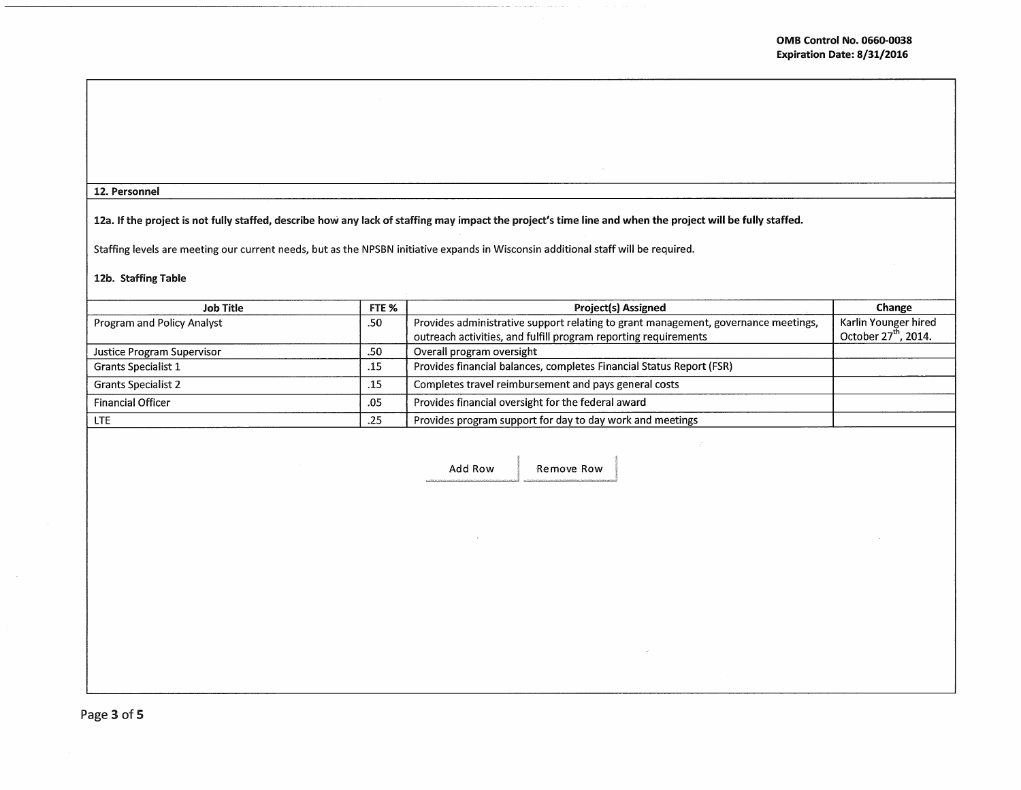# 12. Personnel

# 12a. If the project is not fully staffed, describe how any lack of staffing may impact the project's time line and when the project will be fully staffed.

Staffing levels are meeting our current needs, but as the NPSBN initiative expands in Wisconsin additional staff will be required.

# 12b. Staffing Table

| Job Title                  | FTE % | <b>Project(s) Assigned</b>                                                         | Change                    |
|----------------------------|-------|------------------------------------------------------------------------------------|---------------------------|
| Program and Policy Analyst | .50   | Provides administrative support relating to grant management, governance meetings, | Karlin Younger hired      |
|                            |       | outreach activities, and fulfill program reporting requirements                    | October $27^{th}$ , 2014. |
| Justice Program Supervisor | .50   | Overall program oversight                                                          |                           |
| <b>Grants Specialist 1</b> | .15   | Provides financial balances, completes Financial Status Report (FSR)               |                           |
| <b>Grants Specialist 2</b> | .15   | Completes travel reimbursement and pays general costs                              |                           |
| <b>Financial Officer</b>   | .05   | Provides financial oversight for the federal award                                 |                           |
| <b>LTE</b>                 | .25   | Provides program support for day to day work and meetings                          |                           |

Add Row Remove Row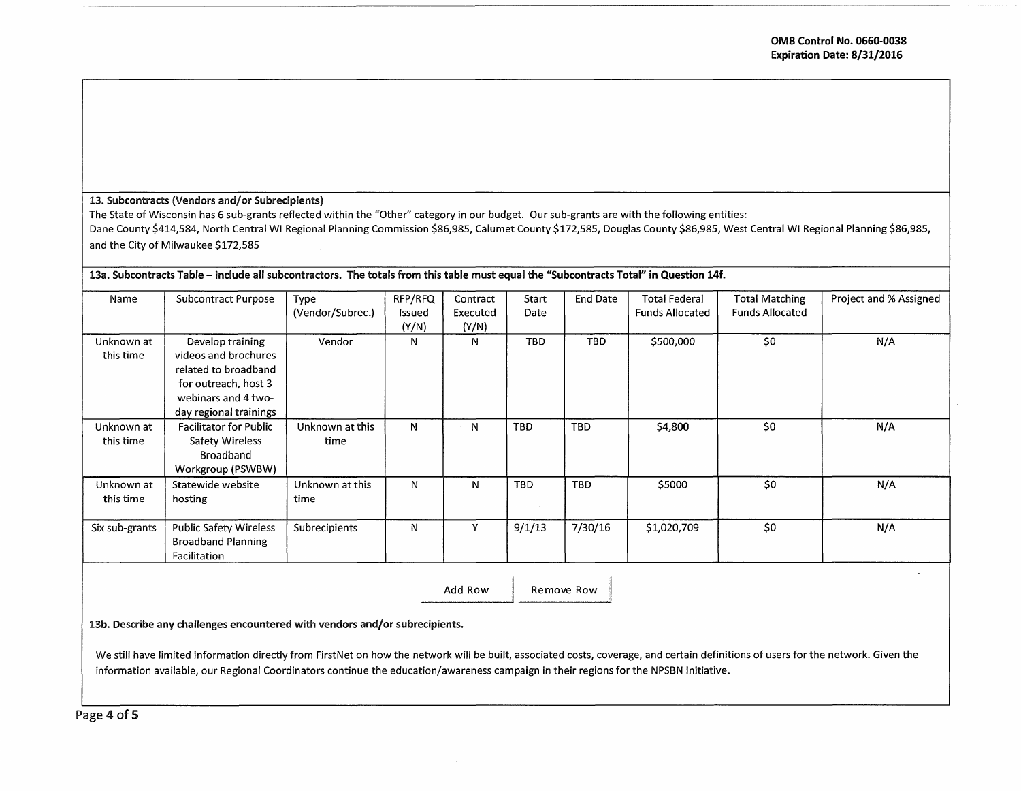### 13. Subcontracts (Vendors and/or Subrecipients)

The State of Wisconsin has 6 sub-grants reflected within the "Other" category in our budget. Our sub-grants are with the following entities: Dane County \$414,584, North Central WI Regional Planning Commission \$86,985, Calumet County \$172,585, Douglas County \$86,985, West Central WI Regional Planning \$86,985, and the City of Milwaukee \$172,585

| 13a. Subcontracts Table – Include all subcontractors. The totals from this table must equal the "Subcontracts Total" in Question 14f. |                                                                                                                                           |                          |                            |                               |               |                 |                                                |                                                 |                        |
|---------------------------------------------------------------------------------------------------------------------------------------|-------------------------------------------------------------------------------------------------------------------------------------------|--------------------------|----------------------------|-------------------------------|---------------|-----------------|------------------------------------------------|-------------------------------------------------|------------------------|
| Name                                                                                                                                  | <b>Subcontract Purpose</b>                                                                                                                | Type<br>(Vendor/Subrec.) | RFP/RFQ<br>Issued<br>(Y/N) | Contract<br>Executed<br>(Y/N) | Start<br>Date | <b>End Date</b> | <b>Total Federal</b><br><b>Funds Allocated</b> | <b>Total Matching</b><br><b>Funds Allocated</b> | Project and % Assigned |
| Unknown at<br>this time                                                                                                               | Develop training<br>videos and brochures<br>related to broadband<br>for outreach, host 3<br>webinars and 4 two-<br>day regional trainings | Vendor                   | N                          | N                             | <b>TBD</b>    | TBD.            | \$500,000                                      | \$0                                             | N/A                    |
| Unknown at<br>this time                                                                                                               | <b>Facilitator for Public</b><br>Safety Wireless<br><b>Broadband</b><br>Workgroup (PSWBW)                                                 | Unknown at this<br>time  | N                          | N                             | <b>TBD</b>    | <b>TBD</b>      | \$4,800                                        | \$0                                             | N/A                    |
| Unknown at<br>this time                                                                                                               | Statewide website<br>hosting                                                                                                              | Unknown at this<br>time  | N                          | N                             | <b>TBD</b>    | TBD             | \$5000                                         | \$0                                             | N/A                    |
| Six sub-grants                                                                                                                        | Public Safety Wireless<br><b>Broadband Planning</b><br>Facilitation                                                                       | Subrecipients            | N                          | Υ                             | 9/1/13        | 7/30/16         | \$1,020,709                                    | \$0                                             | N/A                    |

Add Row

Remove Row

13b. Describe any challenges encountered with vendors and/or subrecipients.

We still have limited information directly from FirstNet on how the network will be built, associated *costs,* coverage, and certain definitions of users for the network. Given the information available, our Regional Coordinators continue the education/awareness campaign in their regions for the NPSBN initiative.